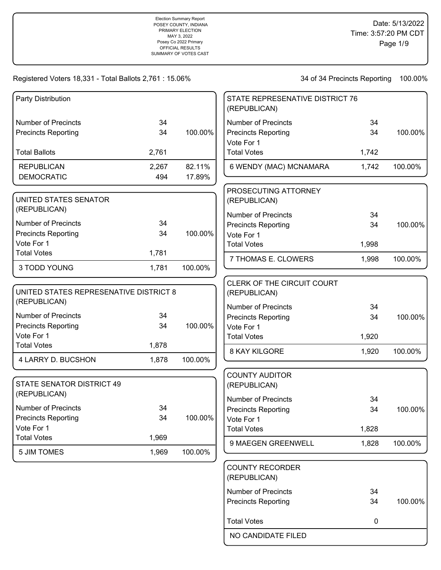34 of 34 Precincts Reporting 100.00%

| Party Distribution                                       |              |                  | STATE REPRESENATIVE DISTRICT 76<br>(REPUBLICAN) |       |         |
|----------------------------------------------------------|--------------|------------------|-------------------------------------------------|-------|---------|
| <b>Number of Precincts</b>                               | 34           |                  | <b>Number of Precincts</b>                      | 34    |         |
| <b>Precincts Reporting</b>                               | 34           | 100.00%          | <b>Precincts Reporting</b><br>Vote For 1        | 34    | 100.00% |
| <b>Total Ballots</b>                                     | 2,761        |                  | <b>Total Votes</b>                              | 1,742 |         |
| <b>REPUBLICAN</b><br><b>DEMOCRATIC</b>                   | 2,267<br>494 | 82.11%<br>17.89% | 6 WENDY (MAC) MCNAMARA                          | 1,742 | 100.00% |
| UNITED STATES SENATOR<br>(REPUBLICAN)                    |              |                  | PROSECUTING ATTORNEY<br>(REPUBLICAN)            |       |         |
| <b>Number of Precincts</b>                               | 34           |                  | <b>Number of Precincts</b>                      | 34    |         |
| <b>Precincts Reporting</b>                               | 34           | 100.00%          | <b>Precincts Reporting</b><br>Vote For 1        | 34    | 100.00% |
| Vote For 1                                               |              |                  | <b>Total Votes</b>                              | 1,998 |         |
| <b>Total Votes</b>                                       | 1,781        |                  | 7 THOMAS E. CLOWERS                             | 1,998 | 100.00% |
| 3 TODD YOUNG                                             | 1,781        | 100.00%          |                                                 |       |         |
| UNITED STATES REPRESENATIVE DISTRICT 8<br>(REPUBLICAN)   |              |                  | CLERK OF THE CIRCUIT COURT<br>(REPUBLICAN)      |       |         |
| <b>Number of Precincts</b>                               | 34           |                  | <b>Number of Precincts</b>                      | 34    |         |
| <b>Precincts Reporting</b>                               | 34           | 100.00%          | <b>Precincts Reporting</b><br>Vote For 1        | 34    | 100.00% |
| Vote For 1                                               |              |                  | <b>Total Votes</b>                              | 1,920 |         |
| <b>Total Votes</b>                                       | 1,878        |                  | 8 KAY KILGORE                                   | 1,920 | 100.00% |
| 4 LARRY D. BUCSHON                                       | 1,878        | 100.00%          |                                                 |       |         |
| <b>STATE SENATOR DISTRICT 49</b><br>(REPUBLICAN)         |              |                  | <b>COUNTY AUDITOR</b><br>(REPUBLICAN)           |       |         |
|                                                          |              |                  | <b>Number of Precincts</b>                      | 34    |         |
| <b>Number of Precincts</b><br><b>Precincts Reporting</b> | 34<br>34     | 100.00%          | <b>Precincts Reporting</b>                      | 34    | 100.00% |
| Vote For 1                                               |              |                  | Vote For 1<br><b>Total Votes</b>                | 1,828 |         |
| <b>Total Votes</b>                                       | 1,969        |                  |                                                 |       |         |
| <b>5 JIM TOMES</b>                                       | 1,969        | 100.00%          | 9 MAEGEN GREENWELL                              | 1,828 | 100.00% |
|                                                          |              |                  | <b>COUNTY RECORDER</b><br>(REPUBLICAN)          |       |         |
|                                                          |              |                  | <b>Number of Precincts</b>                      | 34    |         |
|                                                          |              |                  | <b>Precincts Reporting</b>                      | 34    | 100.00% |
|                                                          |              |                  |                                                 |       |         |

NO CANDIDATE FILED

Total Votes **0**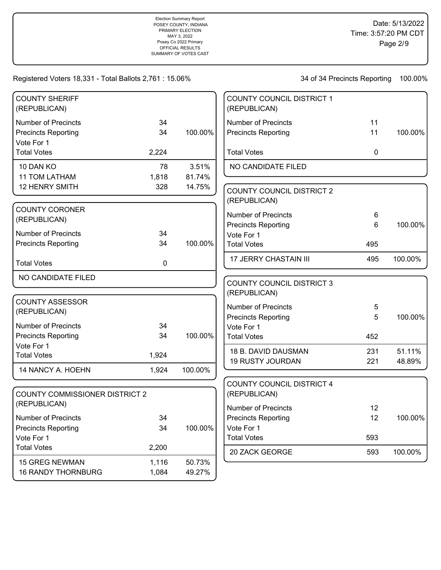| <b>COUNTY SHERIFF</b><br>(REPUBLICAN) |       |         | <b>COUNTY COUNCIL DISTRICT 1</b><br>(REPUBLICAN) |             |         |
|---------------------------------------|-------|---------|--------------------------------------------------|-------------|---------|
| <b>Number of Precincts</b>            | 34    |         | <b>Number of Precincts</b>                       | 11          |         |
| <b>Precincts Reporting</b>            | 34    | 100.00% | <b>Precincts Reporting</b>                       | 11          | 100.00% |
| Vote For 1                            |       |         |                                                  |             |         |
| <b>Total Votes</b>                    | 2,224 |         | <b>Total Votes</b>                               | $\mathbf 0$ |         |
| 10 DAN KO                             | 78    | 3.51%   | NO CANDIDATE FILED                               |             |         |
| <b>11 TOM LATHAM</b>                  | 1,818 | 81.74%  |                                                  |             |         |
| <b>12 HENRY SMITH</b>                 | 328   | 14.75%  | <b>COUNTY COUNCIL DISTRICT 2</b>                 |             |         |
|                                       |       |         | (REPUBLICAN)                                     |             |         |
| <b>COUNTY CORONER</b>                 |       |         |                                                  |             |         |
| (REPUBLICAN)                          |       |         | <b>Number of Precincts</b>                       | 6           |         |
| <b>Number of Precincts</b>            | 34    |         | <b>Precincts Reporting</b><br>Vote For 1         | 6           | 100.00% |
| <b>Precincts Reporting</b>            | 34    | 100.00% | <b>Total Votes</b>                               | 495         |         |
|                                       |       |         |                                                  |             |         |
| <b>Total Votes</b>                    | 0     |         | <b>17 JERRY CHASTAIN III</b>                     | 495         | 100.00% |
| NO CANDIDATE FILED                    |       |         |                                                  |             |         |
|                                       |       |         | <b>COUNTY COUNCIL DISTRICT 3</b><br>(REPUBLICAN) |             |         |
| <b>COUNTY ASSESSOR</b>                |       |         |                                                  |             |         |
| (REPUBLICAN)                          |       |         | <b>Number of Precincts</b>                       | 5           |         |
|                                       |       |         | <b>Precincts Reporting</b>                       | 5           | 100.00% |
| <b>Number of Precincts</b>            | 34    |         | Vote For 1                                       |             |         |
| <b>Precincts Reporting</b>            | 34    | 100.00% | <b>Total Votes</b>                               | 452         |         |
| Vote For 1<br><b>Total Votes</b>      | 1,924 |         | 18 B. DAVID DAUSMAN                              | 231         | 51.11%  |
|                                       |       |         | <b>19 RUSTY JOURDAN</b>                          | 221         | 48.89%  |
| 14 NANCY A. HOEHN                     | 1,924 | 100.00% |                                                  |             |         |
|                                       |       |         | <b>COUNTY COUNCIL DISTRICT 4</b>                 |             |         |
| <b>COUNTY COMMISSIONER DISTRICT 2</b> |       |         | (REPUBLICAN)                                     |             |         |
| (REPUBLICAN)                          |       |         | <b>Number of Precincts</b>                       | 12          |         |
| Number of Precincts                   | 34    |         | <b>Precincts Reporting</b>                       | 12          | 100.00% |
| <b>Precincts Reporting</b>            | 34    | 100.00% | Vote For 1                                       |             |         |
| Vote For 1                            |       |         | <b>Total Votes</b>                               | 593         |         |
| <b>Total Votes</b>                    | 2,200 |         |                                                  |             |         |
|                                       |       |         | 20 ZACK GEORGE                                   | 593         | 100.00% |
| <b>15 GREG NEWMAN</b>                 | 1,116 | 50.73%  |                                                  |             |         |
| <b>16 RANDY THORNBURG</b>             | 1,084 | 49.27%  |                                                  |             |         |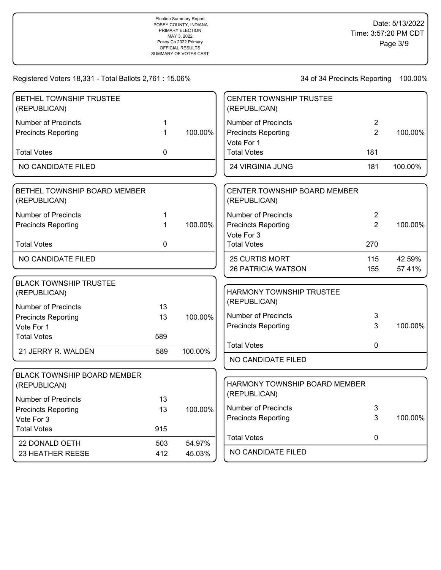| BETHEL TOWNSHIP TRUSTEE<br>(REPUBLICAN)       |              |         | <b>CENTER TOWNSHIP TRUSTEE</b><br>(REPUBLICAN)      |                |         |
|-----------------------------------------------|--------------|---------|-----------------------------------------------------|----------------|---------|
| <b>Number of Precincts</b>                    | 1            |         | <b>Number of Precincts</b>                          | 2              |         |
| <b>Precincts Reporting</b>                    | $\mathbf 1$  | 100.00% | <b>Precincts Reporting</b>                          | $\overline{2}$ | 100.00% |
| <b>Total Votes</b>                            | $\mathbf 0$  |         | Vote For 1<br><b>Total Votes</b>                    | 181            |         |
| NO CANDIDATE FILED                            |              |         | 24 VIRGINIA JUNG                                    | 181            | 100.00% |
| BETHEL TOWNSHIP BOARD MEMBER<br>(REPUBLICAN)  |              |         | <b>CENTER TOWNSHIP BOARD MEMBER</b><br>(REPUBLICAN) |                |         |
| <b>Number of Precincts</b>                    | 1            |         | <b>Number of Precincts</b>                          | $\overline{2}$ |         |
| <b>Precincts Reporting</b>                    | 1            | 100.00% | <b>Precincts Reporting</b>                          | $\overline{2}$ | 100.00% |
|                                               |              |         | Vote For 3                                          |                |         |
| <b>Total Votes</b>                            | $\mathbf{0}$ |         | <b>Total Votes</b>                                  | 270            |         |
| NO CANDIDATE FILED                            |              |         | 25 CURTIS MORT                                      | 115            | 42.59%  |
|                                               |              |         | <b>26 PATRICIA WATSON</b>                           | 155            | 57.41%  |
| <b>BLACK TOWNSHIP TRUSTEE</b><br>(REPUBLICAN) |              |         | HARMONY TOWNSHIP TRUSTEE                            |                |         |
| <b>Number of Precincts</b>                    | 13           |         | (REPUBLICAN)                                        |                |         |
| <b>Precincts Reporting</b>                    | 13           | 100.00% | <b>Number of Precincts</b>                          | 3              |         |
| Vote For 1                                    |              |         | <b>Precincts Reporting</b>                          | 3              | 100.00% |
| <b>Total Votes</b>                            | 589          |         |                                                     |                |         |
| 21 JERRY R. WALDEN                            | 589          | 100.00% | <b>Total Votes</b>                                  | 0              |         |
|                                               |              |         | NO CANDIDATE FILED                                  |                |         |
| <b>BLACK TOWNSHIP BOARD MEMBER</b>            |              |         |                                                     |                |         |
| (REPUBLICAN)                                  |              |         | HARMONY TOWNSHIP BOARD MEMBER                       |                |         |
| <b>Number of Precincts</b>                    | 13           |         | (REPUBLICAN)                                        |                |         |
| <b>Precincts Reporting</b>                    | 13           | 100.00% | <b>Number of Precincts</b>                          | 3              |         |
| Vote For 3                                    |              |         | <b>Precincts Reporting</b>                          | 3              | 100.00% |
| <b>Total Votes</b>                            | 915          |         |                                                     |                |         |
| 22 DONALD OETH                                | 503          | 54.97%  | <b>Total Votes</b>                                  | 0              |         |
| 23 HEATHER REESE                              | 412          | 45.03%  | NO CANDIDATE FILED                                  |                |         |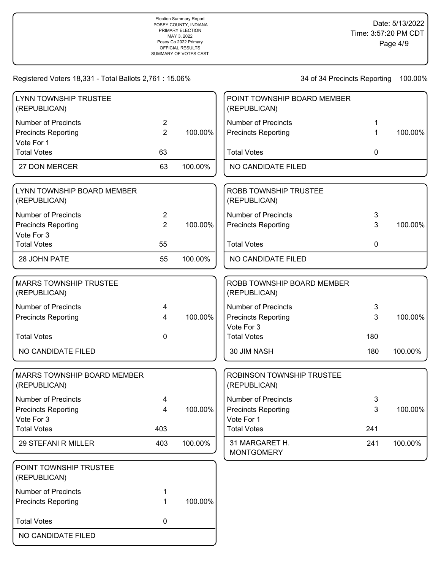| LYNN TOWNSHIP TRUSTEE<br>(REPUBLICAN)         |                |         | POINT TOWNSHIP BOARD MEMBER<br>(REPUBLICAN)  |     |         |
|-----------------------------------------------|----------------|---------|----------------------------------------------|-----|---------|
| <b>Number of Precincts</b>                    | $\overline{2}$ |         | <b>Number of Precincts</b>                   |     |         |
| <b>Precincts Reporting</b><br>Vote For 1      | $\overline{2}$ | 100.00% | <b>Precincts Reporting</b>                   | 1   | 100.00% |
| <b>Total Votes</b>                            | 63             |         | <b>Total Votes</b>                           | 0   |         |
| 27 DON MERCER                                 | 63             | 100.00% | NO CANDIDATE FILED                           |     |         |
| LYNN TOWNSHIP BOARD MEMBER<br>(REPUBLICAN)    |                |         | <b>ROBB TOWNSHIP TRUSTEE</b><br>(REPUBLICAN) |     |         |
| <b>Number of Precincts</b>                    | $\overline{2}$ |         | <b>Number of Precincts</b>                   | 3   |         |
| <b>Precincts Reporting</b><br>Vote For 3      | $\overline{2}$ | 100.00% | <b>Precincts Reporting</b>                   | 3   | 100.00% |
| <b>Total Votes</b>                            | 55             |         | <b>Total Votes</b>                           | 0   |         |
| 28 JOHN PATE                                  | 55             | 100.00% | NO CANDIDATE FILED                           |     |         |
| <b>MARRS TOWNSHIP TRUSTEE</b><br>(REPUBLICAN) |                |         | ROBB TOWNSHIP BOARD MEMBER<br>(REPUBLICAN)   |     |         |
| <b>Number of Precincts</b>                    | 4              |         | <b>Number of Precincts</b>                   | 3   |         |
| <b>Precincts Reporting</b>                    | $\overline{4}$ | 100.00% | <b>Precincts Reporting</b>                   | 3   | 100.00% |
| <b>Total Votes</b>                            | 0              |         | Vote For 3<br><b>Total Votes</b>             | 180 |         |
| NO CANDIDATE FILED                            |                |         | 30 JIM NASH                                  | 180 | 100.00% |
| MARRS TOWNSHIP BOARD MEMBER<br>(REPUBLICAN)   |                |         | ROBINSON TOWNSHIP TRUSTEE<br>(REPUBLICAN)    |     |         |
| <b>Number of Precincts</b>                    | 4              |         | <b>Number of Precincts</b>                   | 3   |         |
| <b>Precincts Reporting</b>                    | 4              | 100.00% | <b>Precincts Reporting</b>                   | 3   | 100.00% |
| Vote For 3<br><b>Total Votes</b>              | 403            |         | Vote For 1<br><b>Total Votes</b>             | 241 |         |
| 29 STEFANI R MILLER                           | 403            | 100.00% | 31 MARGARET H.<br><b>MONTGOMERY</b>          | 241 | 100.00% |
| POINT TOWNSHIP TRUSTEE<br>(REPUBLICAN)        |                |         |                                              |     |         |
| <b>Number of Precincts</b>                    | 1              |         |                                              |     |         |
| <b>Precincts Reporting</b>                    | 1              | 100.00% |                                              |     |         |
| <b>Total Votes</b>                            | $\mathbf 0$    |         |                                              |     |         |
| NO CANDIDATE FILED                            |                |         |                                              |     |         |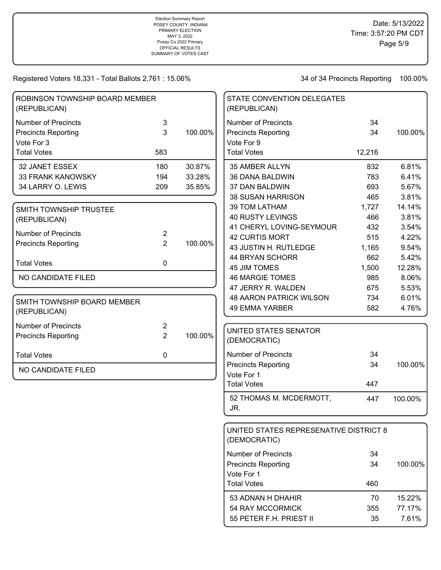34 of 34 Precincts Reporting 100.00%

54 RAY MCCORMICK 355 77.17% 55 PETER F.H. PRIEST II 35 7.61%

| ROBINSON TOWNSHIP BOARD MEMBER<br>(REPUBLICAN) |                |         | STATE CONVENTION DELEGATES<br>(REPUBLICAN)             |        |         |
|------------------------------------------------|----------------|---------|--------------------------------------------------------|--------|---------|
| <b>Number of Precincts</b>                     | 3              |         | <b>Number of Precincts</b>                             | 34     |         |
| <b>Precincts Reporting</b>                     | 3              | 100.00% | <b>Precincts Reporting</b>                             | 34     | 100.00% |
| Vote For 3                                     |                |         | Vote For 9                                             |        |         |
| <b>Total Votes</b>                             | 583            |         | <b>Total Votes</b>                                     | 12,216 |         |
| 32 JANET ESSEX                                 | 180            | 30.87%  | 35 AMBER ALLYN                                         | 832    | 6.81%   |
| <b>33 FRANK KANOWSKY</b>                       | 194            | 33.28%  | 36 DANA BALDWIN                                        | 783    | 6.41%   |
| 34 LARRY O. LEWIS                              | 209            | 35.85%  | 37 DAN BALDWIN                                         | 693    | 5.67%   |
|                                                |                |         | <b>38 SUSAN HARRISON</b>                               | 465    | 3.81%   |
| SMITH TOWNSHIP TRUSTEE                         |                |         | <b>39 TOM LATHAM</b>                                   | 1,727  | 14.14%  |
| (REPUBLICAN)                                   |                |         | <b>40 RUSTY LEVINGS</b>                                | 466    | 3.81%   |
|                                                |                |         | 41 CHERYL LOVING-SEYMOUR                               | 432    | 3.54%   |
| <b>Number of Precincts</b>                     | $\overline{2}$ |         | <b>42 CURTIS MORT</b>                                  | 515    | 4.22%   |
| <b>Precincts Reporting</b>                     | $\overline{2}$ | 100.00% | 43 JUSTIN H. RUTLEDGE                                  | 1,165  | 9.54%   |
|                                                | $\mathbf 0$    |         | 44 BRYAN SCHORR                                        | 662    | 5.42%   |
| <b>Total Votes</b>                             |                |         | <b>45 JIM TOMES</b>                                    | 1,500  | 12.28%  |
| NO CANDIDATE FILED                             |                |         | <b>46 MARGIE TOMES</b>                                 | 985    | 8.06%   |
|                                                |                |         | 47 JERRY R. WALDEN                                     | 675    | 5.53%   |
| SMITH TOWNSHIP BOARD MEMBER                    |                |         | <b>48 AARON PATRICK WILSON</b>                         | 734    | 6.01%   |
| (REPUBLICAN)                                   |                |         | <b>49 EMMA YARBER</b>                                  | 582    | 4.76%   |
| <b>Number of Precincts</b>                     | 2              |         |                                                        |        |         |
| <b>Precincts Reporting</b>                     | $\overline{2}$ | 100.00% | UNITED STATES SENATOR<br>(DEMOCRATIC)                  |        |         |
| <b>Total Votes</b>                             | 0              |         | <b>Number of Precincts</b>                             | 34     |         |
|                                                |                |         | <b>Precincts Reporting</b>                             | 34     | 100.00% |
| NO CANDIDATE FILED                             |                |         | Vote For 1                                             |        |         |
|                                                |                |         | <b>Total Votes</b>                                     | 447    |         |
|                                                |                |         | 52 THOMAS M. MCDERMOTT,<br>JR.                         | 447    | 100.00% |
|                                                |                |         |                                                        |        |         |
|                                                |                |         | UNITED STATES REPRESENATIVE DISTRICT 8<br>(DEMOCRATIC) |        |         |
|                                                |                |         | <b>Number of Precincts</b>                             | 34     |         |
|                                                |                |         | <b>Precincts Reporting</b><br>Vote For 1               | 34     | 100.00% |
|                                                |                |         | <b>Total Votes</b>                                     | 460    |         |
|                                                |                |         | 53 ADNAN H DHAHIR                                      | 70     | 15.22%  |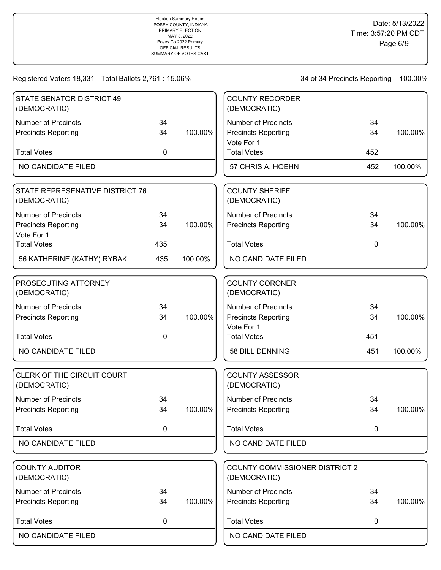| STATE SENATOR DISTRICT 49<br>(DEMOCRATIC)       |             |         | <b>COUNTY RECORDER</b><br>(DEMOCRATIC)                |             |         |
|-------------------------------------------------|-------------|---------|-------------------------------------------------------|-------------|---------|
| <b>Number of Precincts</b>                      | 34          |         | <b>Number of Precincts</b>                            | 34          |         |
| <b>Precincts Reporting</b>                      | 34          | 100.00% | <b>Precincts Reporting</b><br>Vote For 1              | 34          | 100.00% |
| <b>Total Votes</b>                              | 0           |         | <b>Total Votes</b>                                    | 452         |         |
| <b>NO CANDIDATE FILED</b>                       |             |         | 57 CHRIS A. HOEHN                                     | 452         | 100.00% |
| STATE REPRESENATIVE DISTRICT 76<br>(DEMOCRATIC) |             |         | <b>COUNTY SHERIFF</b><br>(DEMOCRATIC)                 |             |         |
| <b>Number of Precincts</b>                      | 34          |         | <b>Number of Precincts</b>                            | 34          |         |
| <b>Precincts Reporting</b><br>Vote For 1        | 34          | 100.00% | <b>Precincts Reporting</b>                            | 34          | 100.00% |
| <b>Total Votes</b>                              | 435         |         | <b>Total Votes</b>                                    | $\mathbf 0$ |         |
| 56 KATHERINE (KATHY) RYBAK                      | 435         | 100.00% | NO CANDIDATE FILED                                    |             |         |
| PROSECUTING ATTORNEY                            |             |         | <b>COUNTY CORONER</b>                                 |             |         |
| (DEMOCRATIC)                                    |             |         | (DEMOCRATIC)                                          |             |         |
| <b>Number of Precincts</b>                      | 34          |         | <b>Number of Precincts</b>                            | 34          |         |
| <b>Precincts Reporting</b>                      | 34          | 100.00% | <b>Precincts Reporting</b>                            | 34          | 100.00% |
|                                                 |             |         | Vote For 1                                            |             |         |
| <b>Total Votes</b>                              | 0           |         | <b>Total Votes</b>                                    | 451         |         |
| NO CANDIDATE FILED                              |             |         | 58 BILL DENNING                                       | 451         | 100.00% |
| CLERK OF THE CIRCUIT COURT<br>(DEMOCRATIC)      |             |         | <b>COUNTY ASSESSOR</b><br>(DEMOCRATIC)                |             |         |
| <b>Number of Precincts</b>                      | 34          |         | <b>Number of Precincts</b>                            | 34          |         |
| <b>Precincts Reporting</b>                      | 34          | 100.00% | <b>Precincts Reporting</b>                            | 34          | 100.00% |
| <b>Total Votes</b>                              | $\mathbf 0$ |         | <b>Total Votes</b>                                    | $\mathbf 0$ |         |
| NO CANDIDATE FILED                              |             |         | NO CANDIDATE FILED                                    |             |         |
|                                                 |             |         |                                                       |             |         |
| <b>COUNTY AUDITOR</b><br>(DEMOCRATIC)           |             |         | <b>COUNTY COMMISSIONER DISTRICT 2</b><br>(DEMOCRATIC) |             |         |
| <b>Number of Precincts</b>                      | 34          |         | <b>Number of Precincts</b>                            | 34          |         |
| <b>Precincts Reporting</b>                      | 34          | 100.00% | <b>Precincts Reporting</b>                            | 34          | 100.00% |
| <b>Total Votes</b>                              | 0           |         | <b>Total Votes</b>                                    | 0           |         |
| NO CANDIDATE FILED                              |             |         | NO CANDIDATE FILED                                    |             |         |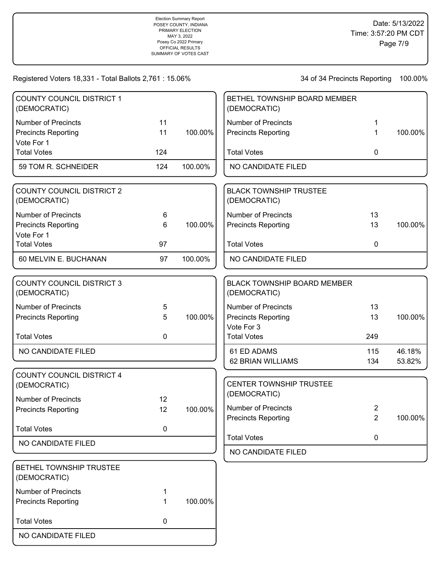| <b>COUNTY COUNCIL DISTRICT 1</b><br>(DEMOCRATIC)                               |                |         | BETHEL TOWNSHIP BOARD MEMBER<br>(DEMOCRATIC)       |                |                  |
|--------------------------------------------------------------------------------|----------------|---------|----------------------------------------------------|----------------|------------------|
| <b>Number of Precincts</b>                                                     | 11             |         | <b>Number of Precincts</b>                         | 1              |                  |
| <b>Precincts Reporting</b><br>Vote For 1                                       | 11             | 100.00% | <b>Precincts Reporting</b>                         | 1              | 100.00%          |
| <b>Total Votes</b>                                                             | 124            |         | <b>Total Votes</b>                                 | 0              |                  |
| 59 TOM R. SCHNEIDER                                                            | 124            | 100.00% | NO CANDIDATE FILED                                 |                |                  |
| <b>COUNTY COUNCIL DISTRICT 2</b><br>(DEMOCRATIC)                               |                |         | <b>BLACK TOWNSHIP TRUSTEE</b><br>(DEMOCRATIC)      |                |                  |
| <b>Number of Precincts</b>                                                     | 6              |         | <b>Number of Precincts</b>                         | 13             |                  |
| <b>Precincts Reporting</b><br>Vote For 1                                       | 6              | 100.00% | <b>Precincts Reporting</b>                         | 13             | 100.00%          |
| <b>Total Votes</b>                                                             | 97             |         | <b>Total Votes</b>                                 | $\mathbf 0$    |                  |
| 60 MELVIN E. BUCHANAN                                                          | 97             | 100.00% | NO CANDIDATE FILED                                 |                |                  |
| <b>COUNTY COUNCIL DISTRICT 3</b><br>(DEMOCRATIC)                               |                |         | <b>BLACK TOWNSHIP BOARD MEMBER</b><br>(DEMOCRATIC) |                |                  |
| <b>Number of Precincts</b>                                                     | $\overline{5}$ |         | <b>Number of Precincts</b>                         | 13             |                  |
| <b>Precincts Reporting</b>                                                     | 5              | 100.00% | <b>Precincts Reporting</b><br>Vote For 3           | 13             | 100.00%          |
| <b>Total Votes</b>                                                             | $\mathbf 0$    |         | <b>Total Votes</b>                                 | 249            |                  |
| NO CANDIDATE FILED                                                             |                |         | 61 ED ADAMS<br>62 BRIAN WILLIAMS                   | 115<br>134     | 46.18%<br>53.82% |
| <b>COUNTY COUNCIL DISTRICT 4</b><br>(DEMOCRATIC)<br><b>Number of Precincts</b> | 12             |         | CENTER TOWNSHIP TRUSTEE<br>(DEMOCRATIC)            |                |                  |
| <b>Precincts Reporting</b>                                                     | 12             | 100.00% | <b>Number of Precincts</b>                         | $\overline{c}$ |                  |
|                                                                                |                |         | <b>Precincts Reporting</b>                         | $\overline{2}$ | 100.00%          |
| <b>Total Votes</b>                                                             | 0              |         | <b>Total Votes</b>                                 | 0              |                  |
| NO CANDIDATE FILED                                                             |                |         | NO CANDIDATE FILED                                 |                |                  |
| BETHEL TOWNSHIP TRUSTEE<br>(DEMOCRATIC)                                        |                |         |                                                    |                |                  |
| <b>Number of Precincts</b>                                                     |                |         |                                                    |                |                  |
| <b>Precincts Reporting</b>                                                     | 1              | 100.00% |                                                    |                |                  |
| <b>Total Votes</b>                                                             | 0              |         |                                                    |                |                  |
| NO CANDIDATE FILED                                                             |                |         |                                                    |                |                  |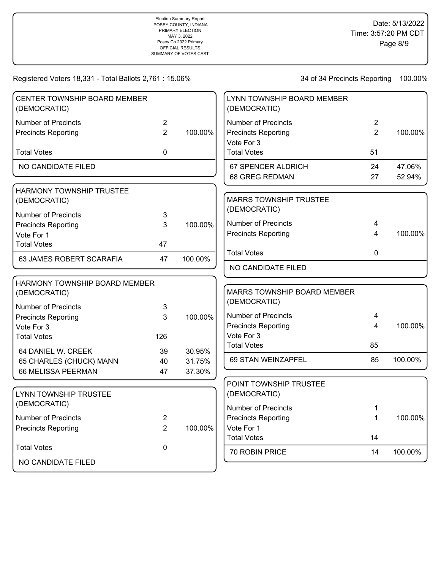| CENTER TOWNSHIP BOARD MEMBER<br>(DEMOCRATIC)    |                |         | LYNN TOWNSHIP BOARD MEMBER<br>(DEMOCRATIC)  |                |         |
|-------------------------------------------------|----------------|---------|---------------------------------------------|----------------|---------|
| Number of Precincts                             | $\overline{2}$ |         | <b>Number of Precincts</b>                  | $\overline{2}$ |         |
| <b>Precincts Reporting</b>                      | $\overline{2}$ | 100.00% | <b>Precincts Reporting</b>                  | $\overline{2}$ | 100.00% |
| <b>Total Votes</b>                              | 0              |         | Vote For 3<br><b>Total Votes</b>            | 51             |         |
| NO CANDIDATE FILED                              |                |         | 67 SPENCER ALDRICH                          | 24             | 47.06%  |
|                                                 |                |         | <b>68 GREG REDMAN</b>                       | 27             | 52.94%  |
| <b>HARMONY TOWNSHIP TRUSTEE</b><br>(DEMOCRATIC) |                |         | <b>MARRS TOWNSHIP TRUSTEE</b>               |                |         |
| <b>Number of Precincts</b>                      | $\mathbf{3}$   |         | (DEMOCRATIC)                                |                |         |
| <b>Precincts Reporting</b>                      | 3              | 100.00% | <b>Number of Precincts</b>                  | 4              |         |
| Vote For 1                                      |                |         | <b>Precincts Reporting</b>                  | 4              | 100.00% |
| <b>Total Votes</b>                              | 47             |         | <b>Total Votes</b>                          | 0              |         |
| 63 JAMES ROBERT SCARAFIA                        | 47             | 100.00% | NO CANDIDATE FILED                          |                |         |
| <b>HARMONY TOWNSHIP BOARD MEMBER</b>            |                |         |                                             |                |         |
| (DEMOCRATIC)                                    |                |         | MARRS TOWNSHIP BOARD MEMBER<br>(DEMOCRATIC) |                |         |
| <b>Number of Precincts</b>                      | 3              |         |                                             |                |         |
| <b>Precincts Reporting</b>                      | 3              | 100.00% | <b>Number of Precincts</b>                  | 4              |         |
| Vote For 3                                      |                |         | <b>Precincts Reporting</b>                  | 4              | 100.00% |
| <b>Total Votes</b>                              | 126            |         | Vote For 3<br><b>Total Votes</b>            | 85             |         |
| 64 DANIEL W. CREEK                              | 39             | 30.95%  |                                             |                |         |
| 65 CHARLES (CHUCK) MANN                         | 40             | 31.75%  | 69 STAN WEINZAPFEL                          | 85             | 100.00% |
| 66 MELISSA PEERMAN                              | 47             | 37.30%  |                                             |                |         |
|                                                 |                |         | POINT TOWNSHIP TRUSTEE                      |                |         |
| LYNN TOWNSHIP TRUSTEE                           |                |         | (DEMOCRATIC)                                |                |         |
| (DEMOCRATIC)                                    |                |         | <b>Number of Precincts</b>                  | 1              |         |
| <b>Number of Precincts</b>                      | $\overline{2}$ |         | <b>Precincts Reporting</b>                  | $\mathbf{1}$   | 100.00% |
| <b>Precincts Reporting</b>                      | 2              | 100.00% | Vote For 1                                  |                |         |
| <b>Total Votes</b>                              | 0              |         | <b>Total Votes</b>                          | 14             |         |
|                                                 |                |         | 70 ROBIN PRICE                              | 14             | 100.00% |
| NO CANDIDATE FILED                              |                |         |                                             |                |         |